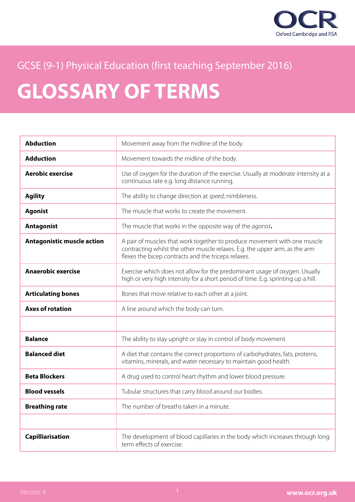

## GCSE (9-1) Physical Education (first teaching September 2016)

## **GLOSSARY OF TERMS**

| <b>Abduction</b>                  | Movement away from the midline of the body.                                                                                                                                                                    |
|-----------------------------------|----------------------------------------------------------------------------------------------------------------------------------------------------------------------------------------------------------------|
| <b>Adduction</b>                  | Movement towards the midline of the body.                                                                                                                                                                      |
| Aerobic exercise                  | Use of oxygen for the duration of the exercise. Usually at moderate intensity at a<br>continuous rate e.g. long distance running.                                                                              |
| <b>Agility</b>                    | The ability to change direction at speed; nimbleness.                                                                                                                                                          |
| <b>Agonist</b>                    | The muscle that works to create the movement.                                                                                                                                                                  |
| <b>Antagonist</b>                 | The muscle that works in the opposite way of the agonist.                                                                                                                                                      |
| <b>Antagonistic muscle action</b> | A pair of muscles that work together to produce movement with one muscle<br>contracting whilst the other muscle relaxes. E.g. the upper arm, as the arm<br>flexes the bicep contracts and the triceps relaxes. |
| <b>Anaerobic exercise</b>         | Exercise which does not allow for the predominant usage of oxygen. Usually<br>high or very high intensity for a short period of time. E.g. sprinting up a hill.                                                |
| <b>Articulating bones</b>         | Bones that move relative to each other at a joint.                                                                                                                                                             |
| <b>Axes of rotation</b>           | A line around which the body can turn.                                                                                                                                                                         |
|                                   |                                                                                                                                                                                                                |
| <b>Balance</b>                    | The ability to stay upright or stay in control of body movement.                                                                                                                                               |
| <b>Balanced diet</b>              | A diet that contains the correct proportions of carbohydrates, fats, proteins,<br>vitamins, minerals, and water necessary to maintain good health.                                                             |
| <b>Beta Blockers</b>              | A drug used to control heart rhythm and lower blood pressure.                                                                                                                                                  |
| <b>Blood vessels</b>              | Tubular structures that carry blood around our bodies.                                                                                                                                                         |
| <b>Breathing rate</b>             | The number of breaths taken in a minute.                                                                                                                                                                       |
|                                   |                                                                                                                                                                                                                |
| <b>Capilliarisation</b>           | The development of blood capillaries in the body which increases through long<br>term effects of exercise.                                                                                                     |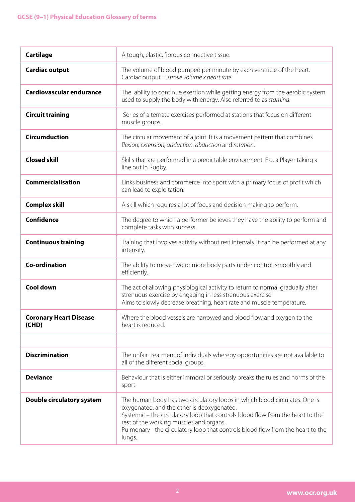| <b>Cartilage</b>                       | A tough, elastic, fibrous connective tissue.                                                                                                                                                                                                                                                                                                       |
|----------------------------------------|----------------------------------------------------------------------------------------------------------------------------------------------------------------------------------------------------------------------------------------------------------------------------------------------------------------------------------------------------|
| <b>Cardiac output</b>                  | The volume of blood pumped per minute by each ventricle of the heart.<br>Cardiac output = stroke volume x heart rate.                                                                                                                                                                                                                              |
| <b>Cardiovascular endurance</b>        | The ability to continue exertion while getting energy from the aerobic system<br>used to supply the body with energy. Also referred to as stamina.                                                                                                                                                                                                 |
| <b>Circuit training</b>                | Series of alternate exercises performed at stations that focus on different<br>muscle groups.                                                                                                                                                                                                                                                      |
| <b>Circumduction</b>                   | The circular movement of a joint. It is a movement pattern that combines<br>flexion, extension, adduction, abduction and rotation.                                                                                                                                                                                                                 |
| <b>Closed skill</b>                    | Skills that are performed in a predictable environment. E.g. a Player taking a<br>line out in Rugby.                                                                                                                                                                                                                                               |
| <b>Commercialisation</b>               | Links business and commerce into sport with a primary focus of profit which<br>can lead to exploitation.                                                                                                                                                                                                                                           |
| <b>Complex skill</b>                   | A skill which requires a lot of focus and decision making to perform.                                                                                                                                                                                                                                                                              |
| <b>Confidence</b>                      | The degree to which a performer believes they have the ability to perform and<br>complete tasks with success.                                                                                                                                                                                                                                      |
| <b>Continuous training</b>             | Training that involves activity without rest intervals. It can be performed at any<br>intensity.                                                                                                                                                                                                                                                   |
| <b>Co-ordination</b>                   | The ability to move two or more body parts under control, smoothly and<br>efficiently.                                                                                                                                                                                                                                                             |
| Cool down                              | The act of allowing physiological activity to return to normal gradually after<br>strenuous exercise by engaging in less strenuous exercise.<br>Aims to slowly decrease breathing, heart rate and muscle temperature.                                                                                                                              |
| <b>Coronary Heart Disease</b><br>(CHD) | Where the blood vessels are narrowed and blood flow and oxygen to the<br>heart is reduced.                                                                                                                                                                                                                                                         |
|                                        |                                                                                                                                                                                                                                                                                                                                                    |
| <b>Discrimination</b>                  | The unfair treatment of individuals whereby opportunities are not available to<br>all of the different social groups.                                                                                                                                                                                                                              |
| <b>Deviance</b>                        | Behaviour that is either immoral or seriously breaks the rules and norms of the<br>sport.                                                                                                                                                                                                                                                          |
| Double circulatory system              | The human body has two circulatory loops in which blood circulates. One is<br>oxygenated, and the other is deoxygenated.<br>Systemic - the circulatory loop that controls blood flow from the heart to the<br>rest of the working muscles and organs.<br>Pulmonary - the circulatory loop that controls blood flow from the heart to the<br>lungs. |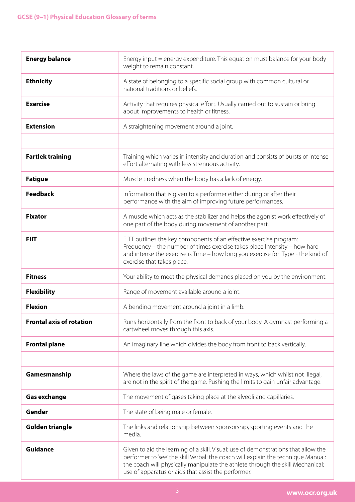| <b>Energy balance</b>           | Energy input = energy expenditure. This equation must balance for your body<br>weight to remain constant.                                                                                                                                                                                                        |
|---------------------------------|------------------------------------------------------------------------------------------------------------------------------------------------------------------------------------------------------------------------------------------------------------------------------------------------------------------|
| <b>Ethnicity</b>                | A state of belonging to a specific social group with common cultural or<br>national traditions or beliefs.                                                                                                                                                                                                       |
| <b>Exercise</b>                 | Activity that requires physical effort. Usually carried out to sustain or bring<br>about improvements to health or fitness.                                                                                                                                                                                      |
| <b>Extension</b>                | A straightening movement around a joint.                                                                                                                                                                                                                                                                         |
|                                 |                                                                                                                                                                                                                                                                                                                  |
| <b>Fartlek training</b>         | Training which varies in intensity and duration and consists of bursts of intense<br>effort alternating with less strenuous activity.                                                                                                                                                                            |
| <b>Fatigue</b>                  | Muscle tiredness when the body has a lack of energy.                                                                                                                                                                                                                                                             |
| <b>Feedback</b>                 | Information that is given to a performer either during or after their<br>performance with the aim of improving future performances.                                                                                                                                                                              |
| <b>Fixator</b>                  | A muscle which acts as the stabilizer and helps the agonist work effectively of<br>one part of the body during movement of another part.                                                                                                                                                                         |
| <b>FIIT</b>                     | FITT outlines the key components of an effective exercise program:<br>Frequency - the number of times exercise takes place Intensity - how hard<br>and intense the exercise is Time - how long you exercise for Type - the kind of<br>exercise that takes place.                                                 |
| <b>Fitness</b>                  | Your ability to meet the physical demands placed on you by the environment.                                                                                                                                                                                                                                      |
| <b>Flexibility</b>              | Range of movement available around a joint.                                                                                                                                                                                                                                                                      |
| <b>Flexion</b>                  | A bending movement around a joint in a limb.                                                                                                                                                                                                                                                                     |
| <b>Frontal axis of rotation</b> | Runs horizontally from the front to back of your body. A gymnast performing a<br>cartwheel moves through this axis.                                                                                                                                                                                              |
| <b>Frontal plane</b>            | An imaginary line which divides the body from front to back vertically.                                                                                                                                                                                                                                          |
|                                 |                                                                                                                                                                                                                                                                                                                  |
| Gamesmanship                    | Where the laws of the game are interpreted in ways, which whilst not illegal,<br>are not in the spirit of the game. Pushing the limits to gain unfair advantage.                                                                                                                                                 |
| <b>Gas exchange</b>             | The movement of gases taking place at the alveoli and capillaries.                                                                                                                                                                                                                                               |
| Gender                          | The state of being male or female.                                                                                                                                                                                                                                                                               |
| <b>Golden triangle</b>          | The links and relationship between sponsorship, sporting events and the<br>media.                                                                                                                                                                                                                                |
| <b>Guidance</b>                 | Given to aid the learning of a skill. Visual: use of demonstrations that allow the<br>performer to 'see' the skill Verbal: the coach will explain the technique Manual:<br>the coach will physically manipulate the athlete through the skill Mechanical:<br>use of apparatus or aids that assist the performer. |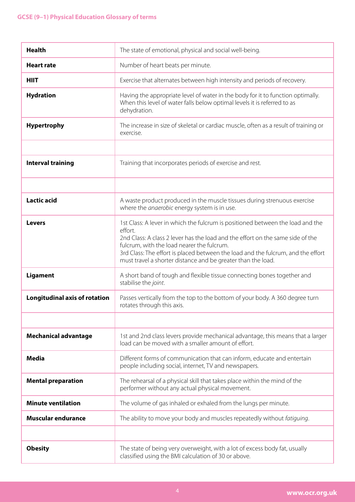| <b>Health</b>                        | The state of emotional, physical and social well-being.                                                                                                                                                                                                                                                                                                                       |
|--------------------------------------|-------------------------------------------------------------------------------------------------------------------------------------------------------------------------------------------------------------------------------------------------------------------------------------------------------------------------------------------------------------------------------|
| <b>Heart rate</b>                    | Number of heart beats per minute.                                                                                                                                                                                                                                                                                                                                             |
| <b>HIIT</b>                          | Exercise that alternates between high intensity and periods of recovery.                                                                                                                                                                                                                                                                                                      |
| <b>Hydration</b>                     | Having the appropriate level of water in the body for it to function optimally.<br>When this level of water falls below optimal levels it is referred to as<br>dehydration.                                                                                                                                                                                                   |
| <b>Hypertrophy</b>                   | The increase in size of skeletal or cardiac muscle, often as a result of training or<br>exercise.                                                                                                                                                                                                                                                                             |
|                                      |                                                                                                                                                                                                                                                                                                                                                                               |
| <b>Interval training</b>             | Training that incorporates periods of exercise and rest.                                                                                                                                                                                                                                                                                                                      |
|                                      |                                                                                                                                                                                                                                                                                                                                                                               |
| <b>Lactic acid</b>                   | A waste product produced in the muscle tissues during strenuous exercise<br>where the anaerobic energy system is in use.                                                                                                                                                                                                                                                      |
| <b>Levers</b>                        | 1st Class: A lever in which the fulcrum is positioned between the load and the<br>effort.<br>2nd Class: A class 2 lever has the load and the effort on the same side of the<br>fulcrum, with the load nearer the fulcrum.<br>3rd Class: The effort is placed between the load and the fulcrum, and the effort<br>must travel a shorter distance and be greater than the load. |
| <b>Ligament</b>                      | A short band of tough and flexible tissue connecting bones together and<br>stabilise the joint.                                                                                                                                                                                                                                                                               |
| <b>Longitudinal axis of rotation</b> | Passes vertically from the top to the bottom of your body. A 360 degree turn<br>rotates through this axis.                                                                                                                                                                                                                                                                    |
|                                      |                                                                                                                                                                                                                                                                                                                                                                               |
| <b>Mechanical advantage</b>          | 1st and 2nd class levers provide mechanical advantage, this means that a larger<br>load can be moved with a smaller amount of effort.                                                                                                                                                                                                                                         |
| <b>Media</b>                         | Different forms of communication that can inform, educate and entertain<br>people including social, internet, TV and newspapers.                                                                                                                                                                                                                                              |
| <b>Mental preparation</b>            | The rehearsal of a physical skill that takes place within the mind of the<br>performer without any actual physical movement.                                                                                                                                                                                                                                                  |
| <b>Minute ventilation</b>            | The volume of gas inhaled or exhaled from the lungs per minute.                                                                                                                                                                                                                                                                                                               |
| <b>Muscular endurance</b>            | The ability to move your body and muscles repeatedly without fatiguing.                                                                                                                                                                                                                                                                                                       |
|                                      |                                                                                                                                                                                                                                                                                                                                                                               |
| <b>Obesity</b>                       | The state of being very overweight, with a lot of excess body fat, usually<br>classified using the BMI calculation of 30 or above.                                                                                                                                                                                                                                            |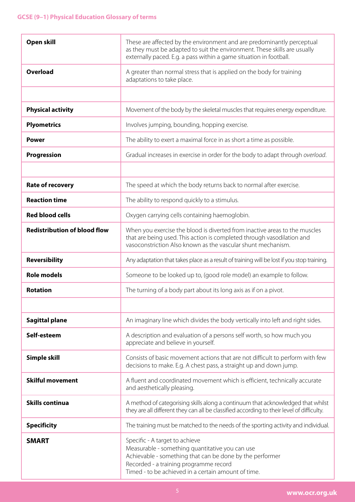| Open skill                          | These are affected by the environment and are predominantly perceptual<br>as they must be adapted to suit the environment. These skills are usually<br>externally paced. E.g. a pass within a game situation in football.                      |
|-------------------------------------|------------------------------------------------------------------------------------------------------------------------------------------------------------------------------------------------------------------------------------------------|
| <b>Overload</b>                     | A greater than normal stress that is applied on the body for training<br>adaptations to take place.                                                                                                                                            |
|                                     |                                                                                                                                                                                                                                                |
| <b>Physical activity</b>            | Movement of the body by the skeletal muscles that requires energy expenditure.                                                                                                                                                                 |
| <b>Plyometrics</b>                  | Involves jumping, bounding, hopping exercise.                                                                                                                                                                                                  |
| <b>Power</b>                        | The ability to exert a maximal force in as short a time as possible.                                                                                                                                                                           |
| Progression                         | Gradual increases in exercise in order for the body to adapt through overload.                                                                                                                                                                 |
|                                     |                                                                                                                                                                                                                                                |
| <b>Rate of recovery</b>             | The speed at which the body returns back to normal after exercise.                                                                                                                                                                             |
| <b>Reaction time</b>                | The ability to respond quickly to a stimulus.                                                                                                                                                                                                  |
| <b>Red blood cells</b>              | Oxygen carrying cells containing haemoglobin.                                                                                                                                                                                                  |
| <b>Redistribution of blood flow</b> | When you exercise the blood is diverted from inactive areas to the muscles<br>that are being used. This action is completed through vasodilation and<br>vasoconstriction Also known as the vascular shunt mechanism.                           |
| <b>Reversibility</b>                | Any adaptation that takes place as a result of training will be lost if you stop training.                                                                                                                                                     |
| <b>Role models</b>                  | Someone to be looked up to, (good role model) an example to follow.                                                                                                                                                                            |
| <b>Rotation</b>                     | The turning of a body part about its long axis as if on a pivot.                                                                                                                                                                               |
|                                     |                                                                                                                                                                                                                                                |
| <b>Sagittal plane</b>               | An imaginary line which divides the body vertically into left and right sides.                                                                                                                                                                 |
| Self-esteem                         | A description and evaluation of a persons self worth, so how much you<br>appreciate and believe in yourself.                                                                                                                                   |
| Simple skill                        | Consists of basic movement actions that are not difficult to perform with few<br>decisions to make. E.g. A chest pass, a straight up and down jump.                                                                                            |
| <b>Skilful movement</b>             | A fluent and coordinated movement which is efficient, technically accurate<br>and aesthetically pleasing.                                                                                                                                      |
| <b>Skills continua</b>              | A method of categorising skills along a continuum that acknowledged that whilst<br>they are all different they can all be classified according to their level of difficulty.                                                                   |
| <b>Specificity</b>                  | The training must be matched to the needs of the sporting activity and individual.                                                                                                                                                             |
| <b>SMART</b>                        | Specific - A target to achieve<br>Measurable - something quantitative you can use<br>Achievable - something that can be done by the performer<br>Recorded - a training programme record<br>Timed - to be achieved in a certain amount of time. |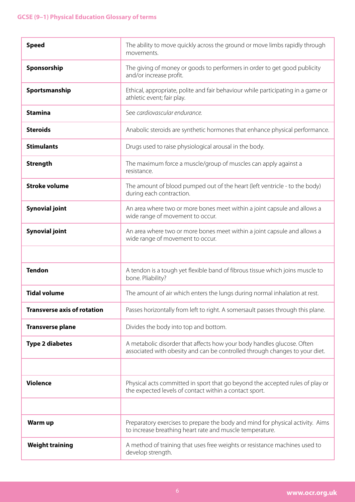| <b>Speed</b>                       | The ability to move quickly across the ground or move limbs rapidly through<br>movements.                                                             |
|------------------------------------|-------------------------------------------------------------------------------------------------------------------------------------------------------|
| Sponsorship                        | The giving of money or goods to performers in order to get good publicity<br>and/or increase profit.                                                  |
| Sportsmanship                      | Ethical, appropriate, polite and fair behaviour while participating in a game or<br>athletic event; fair play.                                        |
| <b>Stamina</b>                     | See cardiovascular endurance.                                                                                                                         |
| <b>Steroids</b>                    | Anabolic steroids are synthetic hormones that enhance physical performance.                                                                           |
| <b>Stimulants</b>                  | Drugs used to raise physiological arousal in the body.                                                                                                |
| <b>Strength</b>                    | The maximum force a muscle/group of muscles can apply against a<br>resistance.                                                                        |
| <b>Stroke volume</b>               | The amount of blood pumped out of the heart (left ventricle - to the body)<br>during each contraction.                                                |
| <b>Synovial joint</b>              | An area where two or more bones meet within a joint capsule and allows a<br>wide range of movement to occur.                                          |
| <b>Synovial joint</b>              | An area where two or more bones meet within a joint capsule and allows a<br>wide range of movement to occur.                                          |
|                                    |                                                                                                                                                       |
| <b>Tendon</b>                      | A tendon is a tough yet flexible band of fibrous tissue which joins muscle to<br>bone. Pliability?                                                    |
| <b>Tidal volume</b>                | The amount of air which enters the lungs during normal inhalation at rest.                                                                            |
| <b>Transverse axis of rotation</b> | Passes horizontally from left to right. A somersault passes through this plane.                                                                       |
| <b>Transverse plane</b>            | Divides the body into top and bottom.                                                                                                                 |
| <b>Type 2 diabetes</b>             | A metabolic disorder that affects how your body handles glucose. Often<br>associated with obesity and can be controlled through changes to your diet. |
|                                    |                                                                                                                                                       |
| <b>Violence</b>                    | Physical acts committed in sport that go beyond the accepted rules of play or<br>the expected levels of contact within a contact sport.               |
|                                    |                                                                                                                                                       |
| Warm up                            | Preparatory exercises to prepare the body and mind for physical activity. Aims<br>to increase breathing heart rate and muscle temperature.            |
| <b>Weight training</b>             | A method of training that uses free weights or resistance machines used to<br>develop strength.                                                       |